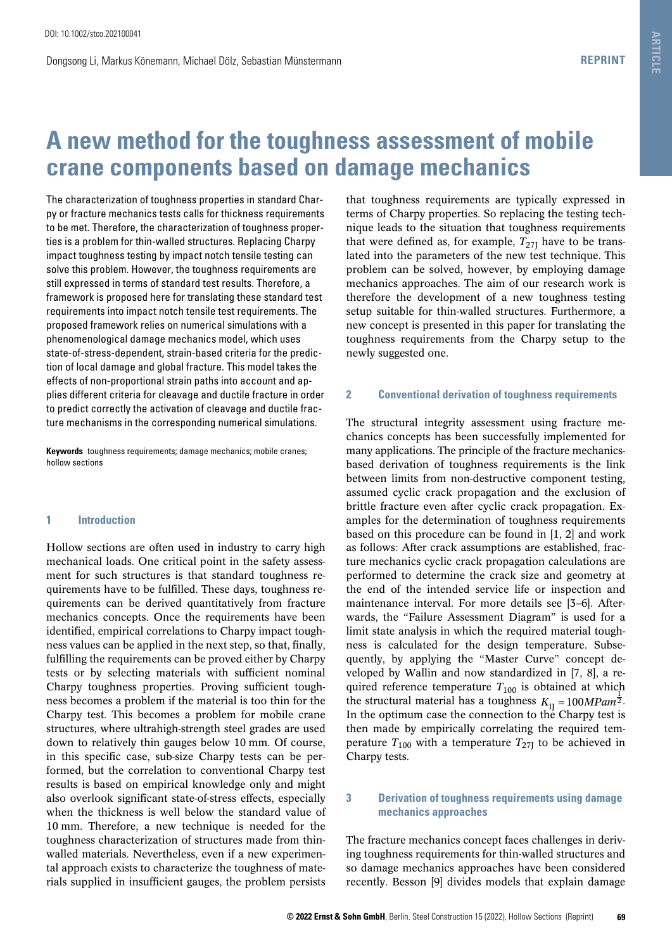# **A new method for the toughness assessment of mobile crane components based on damage mechanics**

The characterization of toughness properties in standard Charpy or fracture mechanics tests calls for thickness requirements to be met. Therefore, the characterization of toughness properties is a problem for thin-walled structures. Replacing Charpy impact toughness testing by impact notch tensile testing can solve this problem. However, the toughness requirements are still expressed in terms of standard test results. Therefore, a framework is proposed here for translating these standard test requirements into impact notch tensile test requirements. The proposed framework relies on numerical simulations with a phenomenological damage mechanics model, which uses state-of-stress-dependent, strain-based criteria for the prediction of local damage and global fracture. This model takes the effects of non-proportional strain paths into account and applies different criteria for cleavage and ductile fracture in order to predict correctly the activation of cleavage and ductile fracture mechanisms in the corresponding numerical simulations.

**Keywords** toughness requirements; damage mechanics; mobile cranes; hollow sections

# **1 Introduction**

Hollow sections are often used in industry to carry high mechanical loads. One critical point in the safety assessment for such structures is that standard toughness requirements have to be fulfilled. These days, toughness requirements can be derived quantitatively from fracture mechanics concepts. Once the requirements have been identified, empirical correlations to Charpy impact toughness values can be applied in the next step, so that, finally, fulfilling the requirements can be proved either by Charpy tests or by selecting materials with sufficient nominal Charpy toughness properties. Proving sufficient toughness becomes a problem if the material is too thin for the Charpy test. This becomes a problem for mobile crane structures, where ultrahigh-strength steel grades are used down to relatively thin gauges below 10 mm. Of course, in this specific case, sub-size Charpy tests can be performed, but the correlation to conventional Charpy test results is based on empirical knowledge only and might also overlook significant state-of-stress effects, especially when the thickness is well below the standard value of 10 mm. Therefore, a new technique is needed for the toughness characterization of structures made from thinwalled materials. Nevertheless, even if a new experimental approach exists to characterize the toughness of materials supplied in insufficient gauges, the problem persists

that toughness requirements are typically expressed in terms of Charpy properties. So replacing the testing technique leads to the situation that toughness requirements that were defined as, for example,  $T_{27}$  have to be translated into the parameters of the new test technique. This problem can be solved, however, by employing damage mechanics approaches. The aim of our research work is therefore the development of a new toughness testing setup suitable for thin-walled structures. Furthermore, a new concept is presented in this paper for translating the toughness requirements from the Charpy setup to the newly suggested one.

# **2 Conventional derivation of toughness requirements**

The structural integrity assessment using fracture mechanics concepts has been successfully implemented for many applications. The principle of the fracture mechanicsbased derivation of toughness requirements is the link between limits from non-destructive component testing, assumed cyclic crack propagation and the exclusion of brittle fracture even after cyclic crack propagation. Examples for the determination of toughness requirements based on this procedure can be found in [1, 2] and work as follows: After crack assumptions are established, fracture mechanics cyclic crack propagation calculations are performed to determine the crack size and geometry at the end of the intended service life or inspection and maintenance interval. For more details see [3–6]. Afterwards, the "Failure Assessment Diagram" is used for a limit state analysis in which the required material toughness is calculated for the design temperature. Subsequently, by applying the "Master Curve" concept developed by Wallin and now standardized in [7, 8], a required reference temperature  $T_{100}$  is obtained at which the structural material has a toughness  $K_{IJ} = 100 MPam^2$ . In the optimum case the connection to the Charpy test is then made by empirically correlating the required temperature  $T_{100}$  with a temperature  $T_{27}$  to be achieved in Charpy tests.

# **3 Derivation of toughness requirements using damage mechanics approaches**

The fracture mechanics concept faces challenges in deriving toughness requirements for thin-walled structures and so damage mechanics approaches have been considered recently. Besson [9] divides models that explain damage

**REPRINT**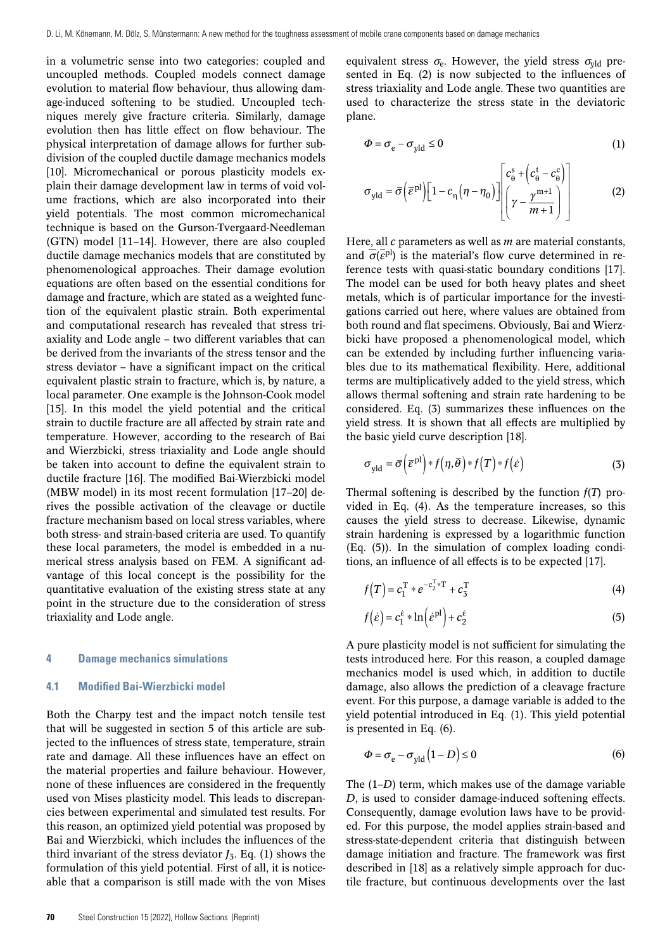in a volumetric sense into two categories: coupled and uncoupled methods. Coupled models connect damage evolution to material flow behaviour, thus allowing damage-induced softening to be studied. Uncoupled techniques merely give fracture criteria. Similarly, damage evolution then has little effect on flow behaviour. The physical interpretation of damage allows for further subdivision of the coupled ductile damage mechanics models [10]. Micromechanical or porous plasticity models explain their damage development law in terms of void volume fractions, which are also incorporated into their yield potentials. The most common micromechanical technique is based on the Gurson-Tvergaard-Needleman (GTN) model [11–14]. However, there are also coupled ductile damage mechanics models that are constituted by phenomenological approaches. Their damage evolution equations are often based on the essential conditions for damage and fracture, which are stated as a weighted function of the equivalent plastic strain. Both experimental and computational research has revealed that stress triaxiality and Lode angle – two different variables that can be derived from the invariants of the stress tensor and the stress deviator – have a significant impact on the critical equivalent plastic strain to fracture, which is, by nature, a local parameter. One example is the Johnson-Cook model [15]. In this model the yield potential and the critical strain to ductile fracture are all affected by strain rate and temperature. However, according to the research of Bai and Wierzbicki, stress triaxiality and Lode angle should be taken into account to define the equivalent strain to ductile fracture [16]. The modified Bai-Wierzbicki model (MBW model) in its most recent formulation [17–20] derives the possible activation of the cleavage or ductile fracture mechanism based on local stress variables, where both stress- and strain-based criteria are used. To quantify these local parameters, the model is embedded in a numerical stress analysis based on FEM. A significant advantage of this local concept is the possibility for the quantitative evaluation of the existing stress state at any point in the structure due to the consideration of stress triaxiality and Lode angle.

### **4 Damage mechanics simulations**

## **4.1 Modified Bai-Wierzbicki model**

Both the Charpy test and the impact notch tensile test that will be suggested in section 5 of this article are subjected to the influences of stress state, temperature, strain rate and damage. All these influences have an effect on the material properties and failure behaviour. However, none of these influences are considered in the frequently used von Mises plasticity model. This leads to discrepancies between experimental and simulated test results. For this reason, an optimized yield potential was proposed by Bai and Wierzbicki, which includes the influences of the third invariant of the stress deviator  $J_3$ . Eq. (1) shows the formulation of this yield potential. First of all, it is noticeable that a comparison is still made with the von Mises

equivalent stress  $\sigma_{e}$ . However, the yield stress  $\sigma_{vld}$  presented in Eq. (2) is now subjected to the influences of stress triaxiality and Lode angle. These two quantities are used to characterize the stress state in the deviatoric plane.

$$
\Phi = \sigma_{\rm e} - \sigma_{\rm yld} \le 0 \tag{1}
$$

$$
\sigma_{\text{yld}} = \overline{\sigma} \left( \overline{\varepsilon}^{\text{pl}} \right) \left[ 1 - c_{\eta} \left( \eta - \eta_0 \right) \right] \begin{bmatrix} c_{\theta}^{\text{s}} + \left( c_{\theta}^{\text{t}} - c_{\theta}^{\text{c}} \right) \\ \left( \gamma - \frac{\gamma^{m+1}}{m+1} \right) \end{bmatrix}
$$
 (2)

Here, all *c* parameters as well as *m* are material constants, and  $\overline{\sigma}(\overline{\epsilon}^{\text{pl}})$  is the material's flow curve determined in reference tests with quasi-static boundary conditions [17]. The model can be used for both heavy plates and sheet metals, which is of particular importance for the investigations carried out here, where values are obtained from both round and flat specimens. Obviously, Bai and Wierzbicki have proposed a phenomenological model, which can be extended by including further influencing variables due to its mathematical flexibility. Here, additional terms are multiplicatively added to the yield stress, which allows thermal softening and strain rate hardening to be considered. Eq. (3) summarizes these influences on the yield stress. It is shown that all effects are multiplied by the basic yield curve description [18].

$$
\sigma_{\text{yld}} = \overline{\sigma} \left( \overline{\varepsilon}^{\text{pl}} \right) * f \left( \eta, \overline{\theta} \right) * f \left( \overline{\tau} \right) * f \left( \dot{\varepsilon} \right) \tag{3}
$$

Thermal softening is described by the function *f*(*T*) provided in Eq. (4). As the temperature increases, so this causes the yield stress to decrease. Likewise, dynamic strain hardening is expressed by a logarithmic function (Eq. (5)). In the simulation of complex loading conditions, an influence of all effects is to be expected [17].

$$
f(T) = c_1^{\mathrm{T}} * e^{-c_2^{\mathrm{T}} * \mathrm{T}} + c_3^{\mathrm{T}} \tag{4}
$$

$$
f(\dot{\varepsilon}) = c_1^{\dot{\varepsilon}} * \ln \left( \dot{\varepsilon}^{\text{pl}} \right) + c_2^{\dot{\varepsilon}} \tag{5}
$$

A pure plasticity model is not sufficient for simulating the tests introduced here. For this reason, a coupled damage mechanics model is used which, in addition to ductile damage, also allows the prediction of a cleavage fracture event. For this purpose, a damage variable is added to the yield potential introduced in Eq. (1). This yield potential is presented in Eq. (6).

$$
\Phi = \sigma_{\rm e} - \sigma_{\rm yld} \left( 1 - D \right) \le 0 \tag{6}
$$

The (1–*D*) term, which makes use of the damage variable *D*, is used to consider damage-induced softening effects. Consequently, damage evolution laws have to be provided. For this purpose, the model applies strain-based and stress-state-dependent criteria that distinguish between damage initiation and fracture. The framework was first described in [18] as a relatively simple approach for ductile fracture, but continuous developments over the last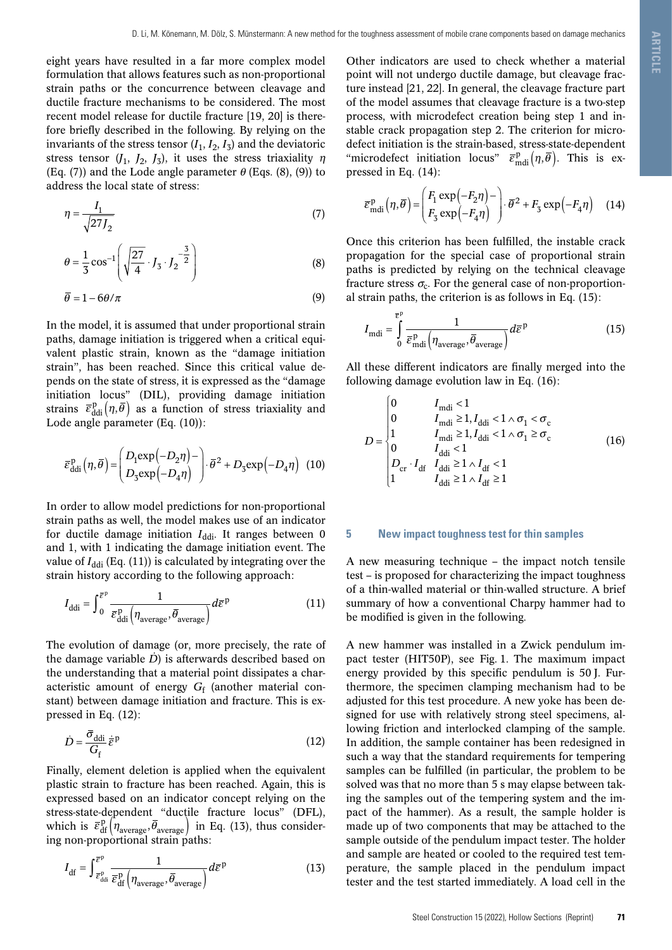eight years have resulted in a far more complex model formulation that allows features such as non-proportional strain paths or the concurrence between cleavage and ductile fracture mechanisms to be considered. The most recent model release for ductile fracture [19, 20] is therefore briefly described in the following. By relying on the invariants of the stress tensor  $(I_1, I_2, I_3)$  and the deviatoric stress tensor  $(J_1, J_2, J_3)$ , it uses the stress triaxiality  $\eta$ (Eq. (7)) and the Lode angle parameter  $\theta$  (Eqs. (8), (9)) to address the local state of stress:

$$
\eta = \frac{I_1}{\sqrt{27 I_2}}\tag{7}
$$

$$
\theta = \frac{1}{3} \cos^{-1} \left( \sqrt{\frac{27}{4}} \cdot J_3 \cdot J_2^{-\frac{3}{2}} \right)
$$
 (8)

$$
\overline{\theta} = 1 - 6\theta/\pi \tag{9}
$$

In the model, it is assumed that under proportional strain paths, damage initiation is triggered when a critical equivalent plastic strain, known as the "damage initiation strain", has been reached. Since this critical value depends on the state of stress, it is expressed as the "damage initiation locus" (DIL), providing damage initiation strains  $\bar{\varepsilon}_{ddi}^{p}(\eta,\bar{\theta})$  as a function of stress triaxiality and Lode angle parameter (Eq. (10)):

$$
\overline{\varepsilon}_{\text{ddi}}^{\text{p}}\left(\eta,\overline{\theta}\right) = \begin{pmatrix} D_1 \exp\left(-D_2\eta\right) - \\ D_3 \exp\left(-D_4\eta\right) \end{pmatrix} \cdot \overline{\theta}^2 + D_3 \exp\left(-D_4\eta\right) (10)
$$

In order to allow model predictions for non-proportional strain paths as well, the model makes use of an indicator for ductile damage initiation  $I_{ddi}$ . It ranges between 0 and 1, with 1 indicating the damage initiation event. The value of  $I_{ddi}$  (Eq. (11)) is calculated by integrating over the strain history according to the following approach:

$$
I_{\text{ddi}} = \int_{0}^{\overline{\varepsilon}^{\mathbf{p}}} \frac{1}{\overline{\varepsilon_{\text{ddi}}^{\mathbf{p}}} \left( \eta_{\text{average}}, \overline{\theta}_{\text{average}} \right)} d\overline{\varepsilon}^{\mathbf{p}} \tag{11}
$$

The evolution of damage (or, more precisely, the rate of the damage variable  $\dot{D}$ ) is afterwards described based on the understanding that a material point dissipates a characteristic amount of energy *G*f (another material constant) between damage initiation and fracture. This is expressed in Eq. (12):

$$
\dot{D} = \frac{\bar{\sigma}_{\text{ddi}}}{G_{\text{f}}} \dot{\vec{\epsilon}}^{\text{p}} \tag{12}
$$

Finally, element deletion is applied when the equivalent plastic strain to fracture has been reached. Again, this is expressed based on an indicator concept relying on the stress-state-dependent "ductile fracture locus" (DFL), which is  $\bar{\epsilon}_{df}^{p}(\bar{\eta}_{average}, \bar{\theta}_{average})$  in Eq. (13), thus considering non-proportional strain paths:

$$
I_{\rm df} = \int_{\overline{\varepsilon}_{\rm dd}^{\rm p}}^{\overline{\varepsilon}^{\rm p}} \frac{1}{\overline{\varepsilon}_{\rm dd}^{\rm p} \left( \eta_{\rm average}, \overline{\theta}_{\rm average} \right)} d\overline{\varepsilon}^{\rm p} \tag{13}
$$

Other indicators are used to check whether a material point will not undergo ductile damage, but cleavage fracture instead [21, 22]. In general, the cleavage fracture part of the model assumes that cleavage fracture is a two-step process, with microdefect creation being step 1 and instable crack propagation step 2. The criterion for microdefect initiation is the strain-based, stress-state-dependent "microdefect initiation locus"  $\bar{\epsilon}_{\text{mdi}}^{\text{p}}(\eta, \bar{\theta})$ . This is expressed in Eq. (14):

$$
\overline{\varepsilon}_{\text{mid}}^{\text{p}}\left(\eta,\overline{\theta}\right) = \begin{pmatrix} F_1 \exp\left(-F_2\eta\right) - \\ F_3 \exp\left(-F_4\eta\right) \end{pmatrix} \cdot \overline{\theta}^2 + F_3 \exp\left(-F_4\eta\right) \quad (14)
$$

Once this criterion has been fulfilled, the instable crack propagation for the special case of proportional strain paths is predicted by relying on the technical cleavage fracture stress  $\sigma_c$ . For the general case of non-proportional strain paths, the criterion is as follows in Eq. (15):

$$
I_{\text{mdi}} = \int_{0}^{\overline{\varepsilon}^{\text{p}}} \frac{1}{\overline{\varepsilon}_{\text{mdi}}^{\text{p}}} \left( \eta_{\text{average}}, \overline{\theta}_{\text{average}} \right) d\overline{\varepsilon}^{\text{p}} \tag{15}
$$

All these different indicators are finally merged into the following damage evolution law in Eq. (16):

$$
D = \begin{cases} 0 & I_{\text{mid}} < 1 \\ 0 & I_{\text{mid}} \ge 1, I_{\text{ddi}} < 1 \land \sigma_1 < \sigma_c \\ 1 & I_{\text{mid}} \ge 1, I_{\text{ddi}} < 1 \land \sigma_1 \ge \sigma_c \\ 0 & I_{\text{ddi}} < 1 \\ D_{\text{cr}} \cdot I_{\text{df}} & I_{\text{ddi}} \ge 1 \land I_{\text{df}} < 1 \\ 1 & I_{\text{ddi}} \ge 1 \land I_{\text{df}} \ge 1 \end{cases}
$$
(16)

#### **5 New impact toughness test for thin samples**

A new measuring technique – the impact notch tensile test – is proposed for characterizing the impact toughness of a thin-walled material or thin-walled structure. A brief summary of how a conventional Charpy hammer had to be modified is given in the following.

A new hammer was installed in a Zwick pendulum impact tester (HIT50P), see Fig. 1. The maximum impact energy provided by this specific pendulum is 50 J. Furthermore, the specimen clamping mechanism had to be adjusted for this test procedure. A new yoke has been designed for use with relatively strong steel specimens, allowing friction and interlocked clamping of the sample. In addition, the sample container has been redesigned in such a way that the standard requirements for tempering samples can be fulfilled (in particular, the problem to be solved was that no more than 5 s may elapse between taking the samples out of the tempering system and the impact of the hammer). As a result, the sample holder is made up of two components that may be attached to the sample outside of the pendulum impact tester. The holder and sample are heated or cooled to the required test temperature, the sample placed in the pendulum impact tester and the test started immediately. A load cell in the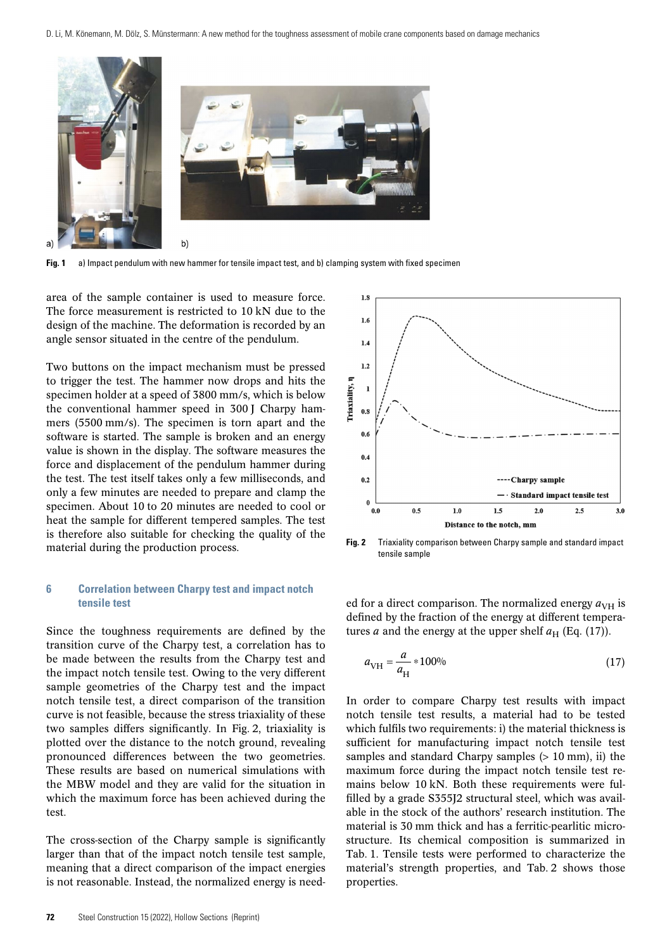

**Fig. 1** a) Impact pendulum with new hammer for tensile impact test, and b) clamping system with fixed specimen

area of the sample container is used to measure force. The force measurement is restricted to 10 kN due to the design of the machine. The deformation is recorded by an angle sensor situated in the centre of the pendulum.

Two buttons on the impact mechanism must be pressed to trigger the test. The hammer now drops and hits the specimen holder at a speed of 3800 mm/s, which is below the conventional hammer speed in 300 J Charpy hammers (5500 mm/s). The specimen is torn apart and the software is started. The sample is broken and an energy value is shown in the display. The software measures the force and displacement of the pendulum hammer during the test. The test itself takes only a few milliseconds, and only a few minutes are needed to prepare and clamp the specimen. About 10 to 20 minutes are needed to cool or heat the sample for different tempered samples. The test is therefore also suitable for checking the quality of the material during the production process.

# **6 Correlation between Charpy test and impact notch tensile test**

Since the toughness requirements are defined by the transition curve of the Charpy test, a correlation has to be made between the results from the Charpy test and the impact notch tensile test. Owing to the very different sample geometries of the Charpy test and the impact notch tensile test, a direct comparison of the transition curve is not feasible, because the stress triaxiality of these two samples differs significantly. In Fig. 2, triaxiality is plotted over the distance to the notch ground, revealing pronounced differences between the two geometries. These results are based on numerical simulations with the MBW model and they are valid for the situation in which the maximum force has been achieved during the test.

The cross-section of the Charpy sample is significantly larger than that of the impact notch tensile test sample, meaning that a direct comparison of the impact energies is not reasonable. Instead, the normalized energy is need-



**Fig. 2** Triaxiality comparison between Charpy sample and standard impact tensile sample

ed for a direct comparison. The normalized energy  $a_{VH}$  is defined by the fraction of the energy at different temperatures *a* and the energy at the upper shelf  $a_H$  (Eq. (17)).

$$
a_{\text{VH}} = \frac{a}{a_{\text{H}}} * 100\% \tag{17}
$$

In order to compare Charpy test results with impact notch tensile test results, a material had to be tested which fulfils two requirements: i) the material thickness is sufficient for manufacturing impact notch tensile test samples and standard Charpy samples  $(> 10 \text{ mm})$ , ii) the maximum force during the impact notch tensile test remains below 10 kN. Both these requirements were fulfilled by a grade S355J2 structural steel, which was available in the stock of the authors' research institution. The material is 30 mm thick and has a ferritic-pearlitic microstructure. Its chemical composition is summarized in Tab. 1. Tensile tests were performed to characterize the material's strength properties, and Tab. 2 shows those properties.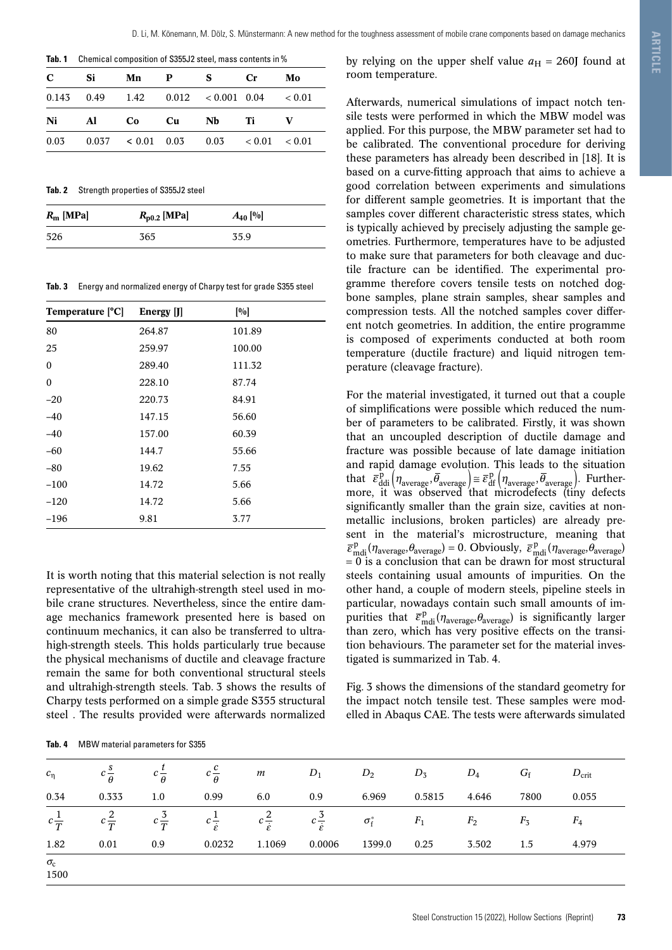**Tab. 1** Chemical composition of S355J2 steel, mass contents in%

| $\mathbf{C}$ | $Si$ $Si$ |  | Mn P S                                              | $\mathbf{C}$ r | Mo |
|--------------|-----------|--|-----------------------------------------------------|----------------|----|
|              |           |  | $0.143$ $0.49$ $1.42$ $0.012$ $0.001$ $0.04$ $0.01$ |                |    |
|              |           |  | Ni Al Co Cu Nb Ti V                                 |                |    |
|              |           |  | $0.03$ $0.037$ $0.01$ $0.03$ $0.03$ $0.01$ $0.01$   |                |    |

**Tab. 2** Strength properties of S355J2 steel

| $R_m$ [MPa] | $R_{p0.2}$ [MPa] | $A_{40}$ [%] |
|-------------|------------------|--------------|
| 526         | 365              | 35.9         |

**Tab. 3** Energy and normalized energy of Charpy test for grade S355 steel

| Temperature $\left[ \degree C \right]$ | Energy [J] | [%]    |
|----------------------------------------|------------|--------|
| 80                                     | 264.87     | 101.89 |
| 25                                     | 259.97     | 100.00 |
| 0                                      | 289.40     | 111.32 |
| 0                                      | 228.10     | 87.74  |
| $-20$                                  | 220.73     | 84.91  |
| $-40$                                  | 147.15     | 56.60  |
| $-40$                                  | 157.00     | 60.39  |
| $-60$                                  | 144.7      | 55.66  |
| $-80$                                  | 19.62      | 7.55   |
| $-100$                                 | 14.72      | 5.66   |
| $-120$                                 | 14.72      | 5.66   |
| $-196$                                 | 9.81       | 3.77   |

It is worth noting that this material selection is not really representative of the ultrahigh-strength steel used in mobile crane structures. Nevertheless, since the entire damage mechanics framework presented here is based on continuum mechanics, it can also be transferred to ultrahigh-strength steels. This holds particularly true because the physical mechanisms of ductile and cleavage fracture remain the same for both conventional structural steels and ultrahigh-strength steels. Tab. 3 shows the results of Charpy tests performed on a simple grade S355 structural steel . The results provided were afterwards normalized

**Tab. 4** MBW material parameters for S355

by relying on the upper shelf value  $a_H = 260$ J found at room temperature.

Afterwards, numerical simulations of impact notch tensile tests were performed in which the MBW model was applied. For this purpose, the MBW parameter set had to be calibrated. The conventional procedure for deriving these parameters has already been described in [18]. It is based on a curve-fitting approach that aims to achieve a good correlation between experiments and simulations for different sample geometries. It is important that the samples cover different characteristic stress states, which is typically achieved by precisely adjusting the sample geometries. Furthermore, temperatures have to be adjusted to make sure that parameters for both cleavage and ductile fracture can be identified. The experimental programme therefore covers tensile tests on notched dogbone samples, plane strain samples, shear samples and compression tests. All the notched samples cover different notch geometries. In addition, the entire programme is composed of experiments conducted at both room temperature (ductile fracture) and liquid nitrogen temperature (cleavage fracture).

For the material investigated, it turned out that a couple of simplifications were possible which reduced the number of parameters to be calibrated. Firstly, it was shown that an uncoupled description of ductile damage and fracture was possible because of late damage initiation and rapid damage evolution. This leads to the situation that  $\bar{\varepsilon}_{ddi}^{\mathrm{p}}\left(\eta_{\mathrm{average}},\bar{\theta}_{\mathrm{average}}\right) \cong \bar{\varepsilon}_{df}^{\mathrm{p}}\left(\eta_{\mathrm{average}},\bar{\theta}_{\mathrm{average}}\right)$ . Furthermore, it was observed that microdefects (tiny defects significantly smaller than the grain size, cavities at nonmetallic inclusions, broken particles) are already present in the material's microstructure, meaning that  $\bar{\varepsilon}^{\,\mathrm{p}}_{\,\mathrm{mid}}(\eta_{\mathrm{average}},\theta_{\mathrm{average}})=0. \text{ Obviously}, \; \bar{\varepsilon}^{\,\mathrm{p}}_{\,\mathrm{mid}}(\eta_{\mathrm{average}},\theta_{\mathrm{average}})$  $= 0$  is a conclusion that can be drawn for most structural steels containing usual amounts of impurities. On the other hand, a couple of modern steels, pipeline steels in particular, nowadays contain such small amounts of impurities that  $\bar{\epsilon}_{\text{mid}}^{\text{p}}(\eta_{\text{average}}, \theta_{\text{average}})$  is significantly larger than zero, which has very positive effects on the transition behaviours. The parameter set for the material investigated is summarized in Tab. 4.

Fig. 3 shows the dimensions of the standard geometry for the impact notch tensile test. These samples were modelled in Abaqus CAE. The tests were afterwards simulated

|                      |       |     | $c_{\eta}$ $c_{\frac{S}{\theta}}^{\delta}$ $c_{\frac{L}{\theta}}^{\delta}$ $c_{\frac{C}{\theta}}^{\delta}$ $m$ $D_1$ $D_2$ $D_3$ $D_4$ $G_f$                          |        |        |        |        |           |      | $D_{\rm crit}$ |
|----------------------|-------|-----|-----------------------------------------------------------------------------------------------------------------------------------------------------------------------|--------|--------|--------|--------|-----------|------|----------------|
| 0.34                 | 0.333 | 1.0 | 0.99                                                                                                                                                                  | 6.0    | 0.9    | 6.969  | 0.5815 | 4.646     | 7800 | 0.055          |
|                      |       |     | $c\frac{1}{T}$ $c\frac{2}{T}$ $c\frac{3}{T}$ $c\frac{1}{\dot{\epsilon}}$ $c\frac{2}{\dot{\epsilon}}$ $c\frac{3}{\dot{\epsilon}}$ $\sigma_f^*$ $F_1$ $F_2$ $F_3$ $F_4$ |        |        |        |        |           |      |                |
| 1.82                 | 0.01  | 0.9 | 0.0232                                                                                                                                                                | 1.1069 | 0.0006 | 1399.0 | 0.25   | 3.502 1.5 |      | 4.979          |
| $\sigma_{c}$<br>1500 |       |     |                                                                                                                                                                       |        |        |        |        |           |      |                |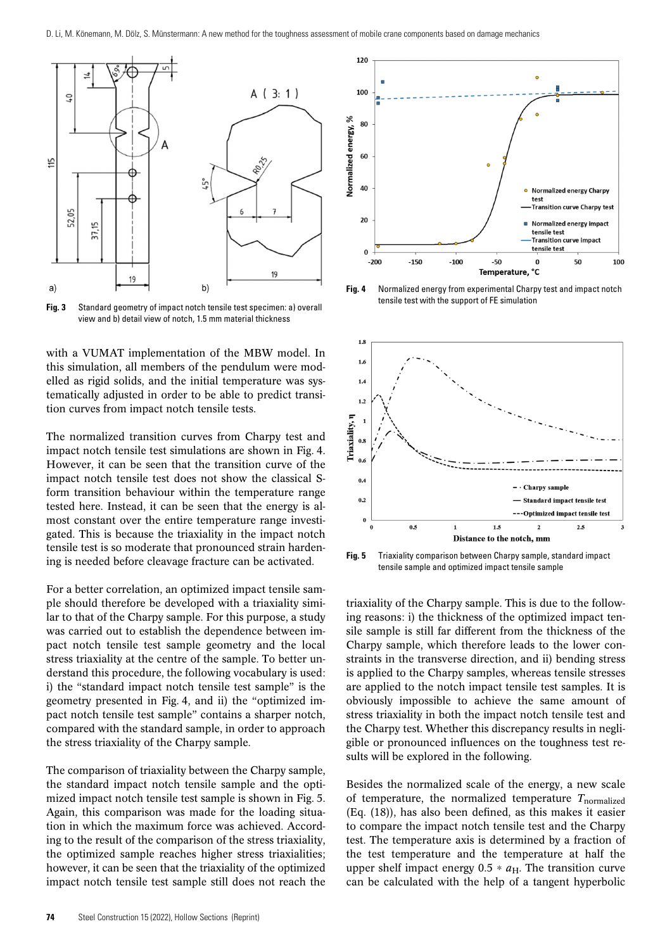

**Fig. 3** Standard geometry of impact notch tensile test specimen: a) overall view and b) detail view of notch, 1.5 mm material thickness

with a VUMAT implementation of the MBW model. In this simulation, all members of the pendulum were modelled as rigid solids, and the initial temperature was systematically adjusted in order to be able to predict transition curves from impact notch tensile tests.

The normalized transition curves from Charpy test and impact notch tensile test simulations are shown in Fig. 4. However, it can be seen that the transition curve of the impact notch tensile test does not show the classical Sform transition behaviour within the temperature range tested here. Instead, it can be seen that the energy is almost constant over the entire temperature range investigated. This is because the triaxiality in the impact notch tensile test is so moderate that pronounced strain hardening is needed before cleavage fracture can be activated.

For a better correlation, an optimized impact tensile sample should therefore be developed with a triaxiality similar to that of the Charpy sample. For this purpose, a study was carried out to establish the dependence between impact notch tensile test sample geometry and the local stress triaxiality at the centre of the sample. To better understand this procedure, the following vocabulary is used: i) the "standard impact notch tensile test sample" is the geometry presented in Fig. 4, and ii) the "optimized impact notch tensile test sample" contains a sharper notch, compared with the standard sample, in order to approach the stress triaxiality of the Charpy sample.

The comparison of triaxiality between the Charpy sample, the standard impact notch tensile sample and the optimized impact notch tensile test sample is shown in Fig. 5. Again, this comparison was made for the loading situation in which the maximum force was achieved. According to the result of the comparison of the stress triaxiality, the optimized sample reaches higher stress triaxialities; however, it can be seen that the triaxiality of the optimized impact notch tensile test sample still does not reach the



**Fig. 4** Normalized energy from experimental Charpy test and impact notch tensile test with the support of FE simulation



**Fig. 5** Triaxiality comparison between Charpy sample, standard impact tensile sample and optimized impact tensile sample

triaxiality of the Charpy sample. This is due to the following reasons: i) the thickness of the optimized impact tensile sample is still far different from the thickness of the Charpy sample, which therefore leads to the lower constraints in the transverse direction, and ii) bending stress is applied to the Charpy samples, whereas tensile stresses are applied to the notch impact tensile test samples. It is obviously impossible to achieve the same amount of stress triaxiality in both the impact notch tensile test and the Charpy test. Whether this discrepancy results in negligible or pronounced influences on the toughness test results will be explored in the following.

Besides the normalized scale of the energy, a new scale of temperature, the normalized temperature T<sub>normalized</sub> (Eq. (18)), has also been defined, as this makes it easier to compare the impact notch tensile test and the Charpy test. The temperature axis is determined by a fraction of the test temperature and the temperature at half the upper shelf impact energy  $0.5 * a_H$ . The transition curve can be calculated with the help of a tangent hyperbolic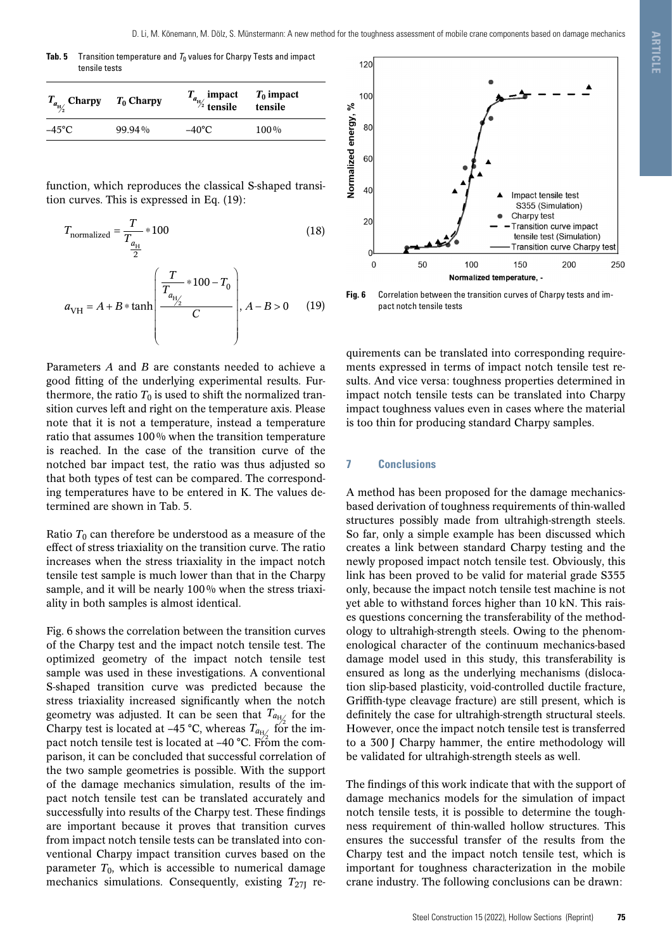**Tab. 5** Transition temperature and  $T_0$  values for Charpy Tests and impact tensile tests

| $T_{a_{\text{H}_{\gamma}}}$ Charpy $T_0$ Charpy |           | $T_{a_{H_2}}$ impact $T_0$ impact<br>tensile tensile |         |  |  |
|-------------------------------------------------|-----------|------------------------------------------------------|---------|--|--|
| $-45^{\circ}$ C                                 | $99.94\%$ | $-40^{\circ}$ C                                      | $100\%$ |  |  |

function, which reproduces the classical S-shaped transition curves. This is expressed in Eq. (19):

$$
T_{\text{normalized}} = \frac{T}{T_{\frac{a_{\text{H}}}{2}}} * 100\tag{18}
$$

$$
a_{\text{VH}} = A + B * \tanh\left(\frac{\frac{T}{T_{a_{\text{H}_{2}}} * 100 - T_{0}}}{C}\right), A - B > 0 \quad (19)
$$

Parameters *A* and *B* are constants needed to achieve a good fitting of the underlying experimental results. Furthermore, the ratio  $T_0$  is used to shift the normalized transition curves left and right on the temperature axis. Please note that it is not a temperature, instead a temperature ratio that assumes 100% when the transition temperature is reached. In the case of the transition curve of the notched bar impact test, the ratio was thus adjusted so that both types of test can be compared. The corresponding temperatures have to be entered in K. The values determined are shown in Tab. 5.

Ratio  $T_0$  can therefore be understood as a measure of the effect of stress triaxiality on the transition curve. The ratio increases when the stress triaxiality in the impact notch tensile test sample is much lower than that in the Charpy sample, and it will be nearly 100% when the stress triaxiality in both samples is almost identical.

Fig. 6 shows the correlation between the transition curves of the Charpy test and the impact notch tensile test. The optimized geometry of the impact notch tensile test sample was used in these investigations. A conventional S-shaped transition curve was predicted because the stress triaxiality increased significantly when the notch geometry was adjusted. It can be seen that  $T_{a_{1/2}}$  for the Charpy test is located at –45 °C, whereas  $T_{a_{\rm H}}$  for the impact notch tensile test is located at  $-40$  °C. From the comparison, it can be concluded that successful correlation of the two sample geometries is possible. With the support of the damage mechanics simulation, results of the impact notch tensile test can be translated accurately and successfully into results of the Charpy test. These findings are important because it proves that transition curves from impact notch tensile tests can be translated into conventional Charpy impact transition curves based on the parameter  $T_0$ , which is accessible to numerical damage mechanics simulations. Consequently, existing  $T_{27}$  re-



**Fig. 6** Correlation between the transition curves of Charpy tests and impact notch tensile tests

quirements can be translated into corresponding requirements expressed in terms of impact notch tensile test results. And vice versa: toughness properties determined in impact notch tensile tests can be translated into Charpy impact toughness values even in cases where the material is too thin for producing standard Charpy samples.

## **7 Conclusions**

A method has been proposed for the damage mechanicsbased derivation of toughness requirements of thin-walled structures possibly made from ultrahigh-strength steels. So far, only a simple example has been discussed which creates a link between standard Charpy testing and the newly proposed impact notch tensile test. Obviously, this link has been proved to be valid for material grade S355 only, because the impact notch tensile test machine is not yet able to withstand forces higher than 10 kN. This raises questions concerning the transferability of the methodology to ultrahigh-strength steels. Owing to the phenomenological character of the continuum mechanics-based damage model used in this study, this transferability is ensured as long as the underlying mechanisms (dislocation slip-based plasticity, void-controlled ductile fracture, Griffith-type cleavage fracture) are still present, which is definitely the case for ultrahigh-strength structural steels. However, once the impact notch tensile test is transferred to a 300 J Charpy hammer, the entire methodology will be validated for ultrahigh-strength steels as well.

The findings of this work indicate that with the support of damage mechanics models for the simulation of impact notch tensile tests, it is possible to determine the toughness requirement of thin-walled hollow structures. This ensures the successful transfer of the results from the Charpy test and the impact notch tensile test, which is important for toughness characterization in the mobile crane industry. The following conclusions can be drawn: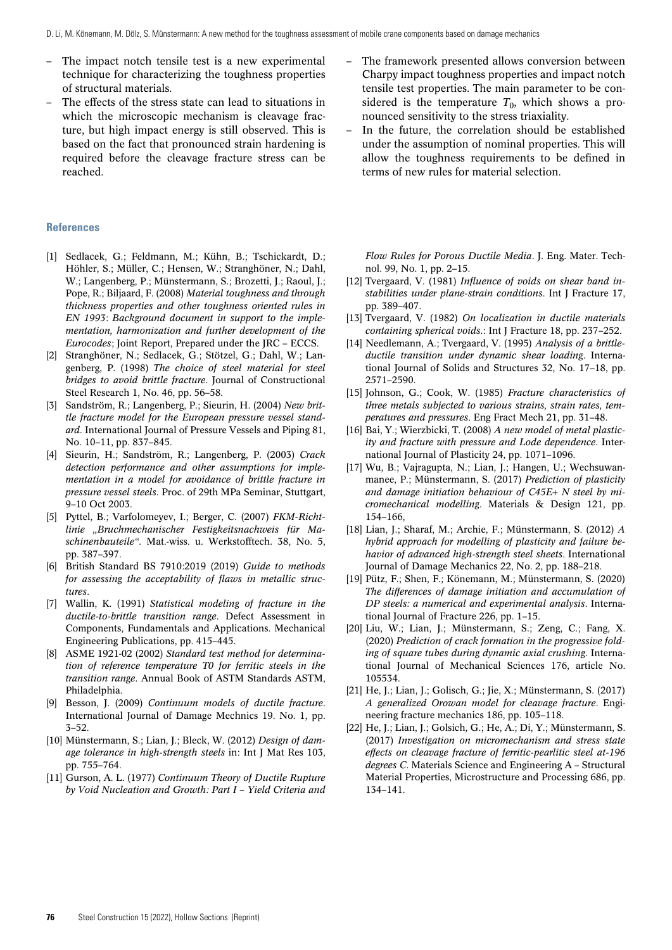- The impact notch tensile test is a new experimental technique for characterizing the toughness properties of structural materials.
- The effects of the stress state can lead to situations in which the microscopic mechanism is cleavage fracture, but high impact energy is still observed. This is based on the fact that pronounced strain hardening is required before the cleavage fracture stress can be reached.

#### **References**

- [1] Sedlacek, G.; Feldmann, M.; Kühn, B.; Tschickardt, D.; Höhler, S.; Müller, C.; Hensen, W.; Stranghöner, N.; Dahl, W.; Langenberg, P.; Münstermann, S.; Brozetti, J.; Raoul, J.; Pope, R.; Biljaard, F. (2008) *Material toughness and through thickness properties and other toughness oriented rules in EN 1993*: *Background document in support to the implementation, harmonization and further development of the Eurocodes*; Joint Report, Prepared under the JRC – ECCS.
- [2] Stranghöner, N.; Sedlacek, G.; Stötzel, G.; Dahl, W.; Langenberg, P. (1998) *The choice of steel material for steel bridges to avoid brittle fracture*. Journal of Constructional Steel Research 1, No. 46, pp. 56–58.
- [3] Sandström, R.; Langenberg, P.; Sieurin, H. (2004) *New brittle fracture model for the European pressure vessel standard*. International Journal of Pressure Vessels and Piping 81, No. 10–11, pp. 837–845.
- [4] Sieurin, H.; Sandström, R.; Langenberg, P. (2003) *Crack detection performance and other assumptions for implementation in a model for avoidance of brittle fracture in pressure vessel steels*. Proc. of 29th MPa Seminar, Stuttgart, 9–10 Oct 2003.
- [5] Pyttel, B.; Varfolomeyev, I.; Berger, C. (2007) *FKM-Richtlinie "Bruchmechanischer Festigkeitsnachweis für Maschinenbauteile"*. Mat.-wiss. u. Werkstofftech. 38, No. 5, pp. 387–397.
- [6] British Standard BS 7910:2019 (2019) *Guide to methods for assessing the acceptability of flaws in metallic structures*.
- [7] Wallin, K. (1991) *Statistical modeling of fracture in the ductile-to-brittle transition range*. Defect Assessment in Components, Fundamentals and Applications. Mechanical Engineering Publications, pp. 415–445.
- [8] ASME 1921-02 (2002) *Standard test method for determination of reference temperature T0 for ferritic steels in the transition range*. Annual Book of ASTM Standards ASTM, Philadelphia.
- [9] Besson, J. (2009) *Continuum models of ductile fracture*. International Journal of Damage Mechnics 19. No. 1, pp. 3–52.
- [10] Münstermann, S.; Lian, J.; Bleck, W. (2012) *Design of damage tolerance in high-strength steels* in: Int J Mat Res 103, pp. 755–764.
- [11] Gurson, A. L. (1977) *Continuum Theory of Ductile Rupture by Void Nucleation and Growth: Part I – Yield Criteria and*
- The framework presented allows conversion between Charpy impact toughness properties and impact notch tensile test properties. The main parameter to be considered is the temperature  $T_0$ , which shows a pronounced sensitivity to the stress triaxiality.
- In the future, the correlation should be established under the assumption of nominal properties. This will allow the toughness requirements to be defined in terms of new rules for material selection.

*Flow Rules for Porous Ductile Media*. J. Eng. Mater. Technol. 99, No. 1, pp. 2–15.

- [12] Tvergaard, V. (1981) *Influence of voids on shear band instabilities under plane-strain conditions*. Int J Fracture 17, pp. 389–407.
- [13] Tvergaard, V. (1982) *On localization in ductile materials containing spherical voids*.: Int J Fracture 18, pp. 237–252.
- [14] Needlemann, A.; Tvergaard, V. (1995) *Analysis of a brittleductile transition under dynamic shear loading*. International Journal of Solids and Structures 32, No. 17–18, pp. 2571–2590.
- [15] Johnson, G.; Cook, W. (1985) *Fracture characteristics of three metals subjected to various strains, strain rates, temperatures and pressures*. Eng Fract Mech 21, pp. 31–48.
- [16] Bai, Y.; Wierzbicki, T. (2008) *A new model of metal plasticity and fracture with pressure and Lode dependence*. International Journal of Plasticity 24, pp. 1071–1096.
- [17] Wu, B.; Vajragupta, N.; Lian, J.; Hangen, U.; Wechsuwanmanee, P.; Münstermann, S. (2017) *Prediction of plasticity and damage initiation behaviour of C45E*+ *N steel by micromechanical modelling*. Materials & Design 121, pp. 154–166,
- [18] Lian, J.; Sharaf, M.; Archie, F.; Münstermann, S. (2012) *A hybrid approach for modelling of plasticity and failure behavior of advanced high-strength steel sheets*. International Journal of Damage Mechanics 22, No. 2, pp. 188–218.
- [19] Pütz, F.; Shen, F.; Könemann, M.; Münstermann, S. (2020) *The differences of damage initiation and accumulation of DP steels: a numerical and experimental analysis*. International Journal of Fracture 226, pp. 1–15.
- [20] Liu, W.; Lian, J.; Münstermann, S.; Zeng, C.; Fang, X. (2020) *Prediction of crack formation in the progressive folding of square tubes during dynamic axial crushing*. International Journal of Mechanical Sciences 176, article No. 105534.
- [21] He, J.; Lian, J.; Golisch, G.; Jie, X.; Münstermann, S. (2017) *A generalized Orowan model for cleavage fracture*. Engineering fracture mechanics 186, pp. 105–118.
- [22] He, J.; Lian, J.; Golsich, G.; He, A.; Di, Y.; Münstermann, S. (2017) *Investigation on micromechanism and stress state effects on cleavage fracture of ferritic-pearlitic steel at-196 degrees C*. Materials Science and Engineering A – Structural Material Properties, Microstructure and Processing 686, pp. 134–141.